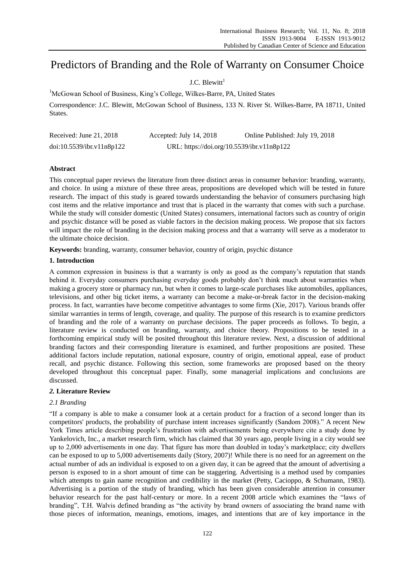# Predictors of Branding and the Role of Warranty on Consumer Choice

# J.C. Blewitt $<sup>1</sup>$ </sup>

<sup>1</sup>McGowan School of Business, King's College, Wilkes-Barre, PA, United States

Correspondence: J.C. Blewitt, McGowan School of Business, 133 N. River St. Wilkes-Barre, PA 18711, United States.

| Received: June $21, 2018$ | Accepted: July 14, $2018$                  | Online Published: July 19, 2018 |
|---------------------------|--------------------------------------------|---------------------------------|
| doi:10.5539/ibr.v11n8p122 | URL: https://doi.org/10.5539/ibr.v11n8p122 |                                 |

# **Abstract**

This conceptual paper reviews the literature from three distinct areas in consumer behavior: branding, warranty, and choice. In using a mixture of these three areas, propositions are developed which will be tested in future research. The impact of this study is geared towards understanding the behavior of consumers purchasing high cost items and the relative importance and trust that is placed in the warranty that comes with such a purchase. While the study will consider domestic (United States) consumers, international factors such as country of origin and psychic distance will be posed as viable factors in the decision making process. We propose that six factors will impact the role of branding in the decision making process and that a warranty will serve as a moderator to the ultimate choice decision.

**Keywords:** branding, warranty, consumer behavior, country of origin, psychic distance

# **1. Introduction**

A common expression in business is that a warranty is only as good as the company's reputation that stands behind it. Everyday consumers purchasing everyday goods probably don't think much about warranties when making a grocery store or pharmacy run, but when it comes to large-scale purchases like automobiles, appliances, televisions, and other big ticket items, a warranty can become a make-or-break factor in the decision-making process. In fact, warranties have become competitive advantages to some firms (Xie, 2017). Various brands offer similar warranties in terms of length, coverage, and quality. The purpose of this research is to examine predictors of branding and the role of a warranty on purchase decisions. The paper proceeds as follows. To begin, a literature review is conducted on branding, warranty, and choice theory. Propositions to be tested in a forthcoming empirical study will be posited throughout this literature review. Next, a discussion of additional branding factors and their corresponding literature is examined, and further propositions are posited. These additional factors include reputation, national exposure, country of origin, emotional appeal, ease of product recall, and psychic distance. Following this section, some frameworks are proposed based on the theory developed throughout this conceptual paper. Finally, some managerial implications and conclusions are discussed.

# *2.* **Literature Review**

# *2.1 Branding*

"If a company is able to make a consumer look at a certain product for a fraction of a second longer than its competitors' products, the probability of purchase intent increases significantly (Sandom 2008)." A recent New York Times article describing people's frustration with advertisements being everywhere cite a study done by Yankelovich, Inc., a market research firm, which has claimed that 30 years ago, people living in a city would see up to 2,000 advertisements in one day. That figure has more than doubled in today's marketplace; city dwellers can be exposed to up to 5,000 advertisements daily (Story, 2007)! While there is no need for an agreement on the actual number of ads an individual is exposed to on a given day, it can be agreed that the amount of advertising a person is exposed to in a short amount of time can be staggering. Advertising is a method used by companies which attempts to gain name recognition and credibility in the market (Petty, Cacioppo, & Schumann, 1983). Advertising is a portion of the study of branding, which has been given considerable attention in consumer behavior research for the past half-century or more. In a recent 2008 article which examines the "laws of branding", T.H. Walvis defined branding as "the activity by brand owners of associating the brand name with those pieces of information, meanings, emotions, images, and intentions that are of key importance in the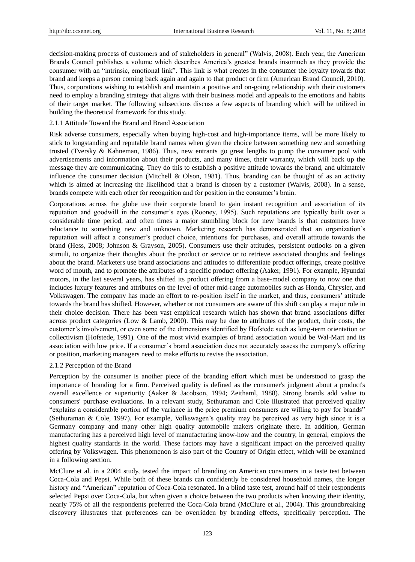decision-making process of customers and of stakeholders in general" (Walvis, 2008). Each year, the American Brands Council publishes a volume which describes America's greatest brands insomuch as they provide the consumer with an "intrinsic, emotional link". This link is what creates in the consumer the loyalty towards that brand and keeps a person coming back again and again to that product or firm (American Brand Council, 2010). Thus, corporations wishing to establish and maintain a positive and on-going relationship with their customers need to employ a branding strategy that aligns with their business model and appeals to the emotions and habits of their target market. The following subsections discuss a few aspects of branding which will be utilized in building the theoretical framework for this study.

## 2.1.1 Attitude Toward the Brand and Brand Association

Risk adverse consumers, especially when buying high-cost and high-importance items, will be more likely to stick to longstanding and reputable brand names when given the choice between something new and something trusted (Tversky & Kahneman, 1986). Thus, new entrants go great lengths to pump the consumer pool with advertisements and information about their products, and many times, their warranty, which will back up the message they are communicating. They do this to establish a positive attitude towards the brand, and ultimately influence the consumer decision (Mitchell & Olson, 1981). Thus, branding can be thought of as an activity which is aimed at increasing the likelihood that a brand is chosen by a customer (Walvis, 2008). In a sense, brands compete with each other for recognition and for position in the consumer's brain.

Corporations across the globe use their corporate brand to gain instant recognition and association of its reputation and goodwill in the consumer's eyes (Rooney, 1995). Such reputations are typically built over a considerable time period, and often times a major stumbling block for new brands is that customers have reluctance to something new and unknown. Marketing research has demonstrated that an organization's reputation will affect a consumer's product choice, intentions for purchases, and overall attitude towards the brand (Hess, 2008; Johnson & Grayson, 2005). Consumers use their attitudes, persistent outlooks on a given stimuli, to organize their thoughts about the product or service or to retrieve associated thoughts and feelings about the brand. Marketers use brand associations and attitudes to differentiate product offerings, create positive word of mouth, and to promote the attributes of a specific product offering (Aaker, 1991). For example, Hyundai motors, in the last several years, has shifted its product offering from a base-model company to now one that includes luxury features and attributes on the level of other mid-range automobiles such as Honda, Chrysler, and Volkswagen. The company has made an effort to re-position itself in the market, and thus, consumers' attitude towards the brand has shifted. However, whether or not consumers are aware of this shift can play a major role in their choice decision. There has been vast empirical research which has shown that brand associations differ across product categories (Low & Lamb, 2000). This may be due to attributes of the product, their costs, the customer's involvement, or even some of the dimensions identified by Hofstede such as long-term orientation or collectivism (Hofstede, 1991). One of the most vivid examples of brand association would be Wal-Mart and its association with low price. If a consumer's brand association does not accurately assess the company's offering or position, marketing managers need to make efforts to revise the association.

## 2.1.2 Perception of the Brand

Perception by the consumer is another piece of the branding effort which must be understood to grasp the importance of branding for a firm. Perceived quality is defined as the consumer's judgment about a product's overall excellence or superiority (Aaker & Jacobson, 1994; Zeithaml, 1988). Strong brands add value to consumers' purchase evaluations. In a relevant study, Sethuraman and Cole illustrated that perceived quality "explains a considerable portion of the variance in the price premium consumers are willing to pay for brands" (Sethuraman & Cole, 1997). For example, Volkswagen's quality may be perceived as very high since it is a Germany company and many other high quality automobile makers originate there. In addition, German manufacturing has a perceived high level of manufacturing know-how and the country, in general, employs the highest quality standards in the world. These factors may have a significant impact on the perceived quality offering by Volkswagen. This phenomenon is also part of the Country of Origin effect, which will be examined in a following section.

McClure et al. in a 2004 study, tested the impact of branding on American consumers in a taste test between Coca-Cola and Pepsi. While both of these brands can confidently be considered household names, the longer history and "American" reputation of Coca-Cola resonated. In a blind taste test, around half of their respondents selected Pepsi over Coca-Cola, but when given a choice between the two products when knowing their identity, nearly 75% of all the respondents preferred the Coca-Cola brand (McClure et al., 2004). This groundbreaking discovery illustrates that preferences can be overridden by branding effects, specifically perception. The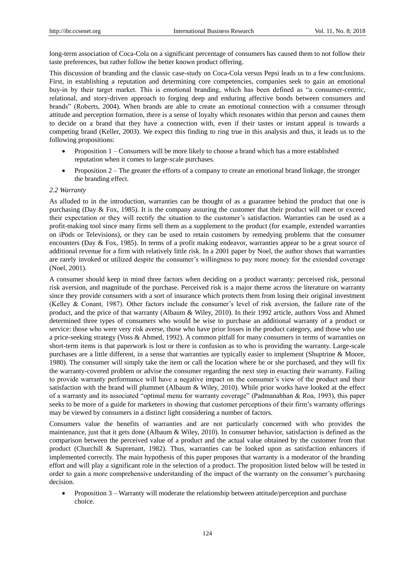long-term association of Coca-Cola on a significant percentage of consumers has caused them to not follow their taste preferences, but rather follow the better known product offering.

This discussion of branding and the classic case-study on Coca-Cola versus Pepsi leads us to a few conclusions. First, in establishing a reputation and determining core competencies, companies seek to gain an emotional buy-in by their target market. This is emotional branding, which has been defined as "a consumer-centric, relational, and story-driven approach to forging deep and enduring affective bonds between consumers and brands" (Roberts, 2004). When brands are able to create an emotional connection with a consumer through attitude and perception formation, there is a sense of loyalty which resonates within that person and causes them to decide on a brand that they have a connection with, even if their tastes or instant appeal is towards a competing brand (Keller, 2003). We expect this finding to ring true in this analysis and thus, it leads us to the following propositions:

- Proposition 1 Consumers will be more likely to choose a brand which has a more established reputation when it comes to large-scale purchases.
- Proposition 2 The greater the efforts of a company to create an emotional brand linkage, the stronger the branding effect.

# *2.2 Warranty*

As alluded to in the introduction, warranties can be thought of as a guarantee behind the product that one is purchasing (Day & Fox, 1985). It is the company assuring the customer that their product will meet or exceed their expectation or they will rectify the situation to the customer's satisfaction. Warranties can be used as a profit-making tool since many firms sell them as a supplement to the product (for example, extended warranties on iPods or Televisions), or they can be used to retain customers by remedying problems that the consumer encounters (Day & Fox, 1985). In terms of a profit making endeavor, warranties appear to be a great source of additional revenue for a firm with relatively little risk. In a 2001 paper by Noel, the author shows that warranties are rarely invoked or utilized despite the consumer's willingness to pay more money for the extended coverage (Noel, 2001).

A consumer should keep in mind three factors when deciding on a product warranty: perceived risk, personal risk aversion, and magnitude of the purchase. Perceived risk is a major theme across the literature on warranty since they provide consumers with a sort of insurance which protects them from losing their original investment (Kelley & Conant, 1987). Other factors include the consumer's level of risk aversion, the failure rate of the product, and the price of that warranty (Albaum & Wiley, 2010). In their 1992 article, authors Voss and Ahmed determined three types of consumers who would be wise to purchase an additional warranty of a product or service: those who were very risk averse, those who have prior losses in the product category, and those who use a price-seeking strategy (Voss & Ahmed, 1992). A common pitfall for many consumers in terms of warranties on short-term items is that paperwork is lost or there is confusion as to who is providing the warranty. Large-scale purchases are a little different, in a sense that warranties are typically easier to implement (Shuptrine & Moore, 1980). The consumer will simply take the item or call the location where he or she purchased, and they will fix the warranty-covered problem or advise the consumer regarding the next step in enacting their warranty. Failing to provide warranty performance will have a negative impact on the consumer's view of the product and their satisfaction with the brand will plummet (Albaum & Wiley, 2010). While prior works have looked at the effect of a warranty and its associated "optimal menu for warranty coverage" (Padmanabhan & Roa, 1993), this paper seeks to be more of a guide for marketers in showing that customer perceptions of their firm's warranty offerings may be viewed by consumers in a distinct light considering a number of factors.

Consumers value the benefits of warranties and are not particularly concerned with who provides the maintenance, just that it gets done (Albaum & Wiley, 2010). In consumer behavior, satisfaction is defined as the comparison between the perceived value of a product and the actual value obtained by the customer from that product (Churchill & Suprenant, 1982). Thus, warranties can be looked upon as satisfaction enhancers if implemented correctly. The main hypothesis of this paper proposes that warranty is a moderator of the branding effort and will play a significant role in the selection of a product. The proposition listed below will be tested in order to gain a more comprehensive understanding of the impact of the warranty on the consumer's purchasing decision.

 Proposition 3 – Warranty will moderate the relationship between attitude/perception and purchase choice.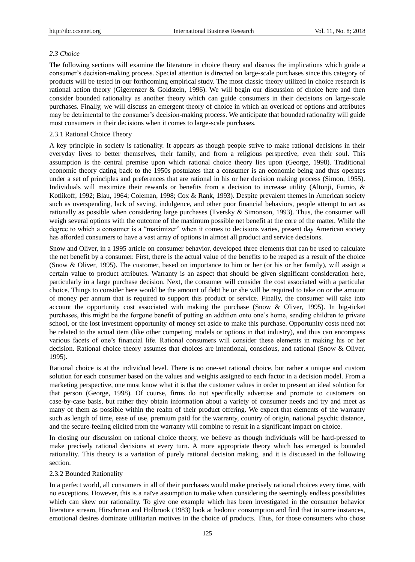## *2.3 Choice*

The following sections will examine the literature in choice theory and discuss the implications which guide a consumer's decision-making process. Special attention is directed on large-scale purchases since this category of products will be tested in our forthcoming empirical study. The most classic theory utilized in choice research is rational action theory (Gigerenzer & Goldstein, 1996). We will begin our discussion of choice here and then consider bounded rationality as another theory which can guide consumers in their decisions on large-scale purchases. Finally, we will discuss an emergent theory of choice in which an overload of options and attributes may be detrimental to the consumer's decision-making process. We anticipate that bounded rationality will guide most consumers in their decisions when it comes to large-scale purchases.

## 2.3.1 Rational Choice Theory

A key principle in society is rationality. It appears as though people strive to make rational decisions in their everyday lives to better themselves, their family, and from a religious perspective, even their soul. This assumption is the central premise upon which rational choice theory lies upon (George, 1998). Traditional economic theory dating back to the 1950s postulates that a consumer is an economic being and thus operates under a set of principles and preferences that are rational in his or her decision making process (Simon, 1955). Individuals will maximize their rewards or benefits from a decision to increase utility (Altonji, Fumio, & Kotlikoff, 1992; Blau, 1964; Coleman, 1998; Cox & Rank, 1993). Despite prevalent themes in American society such as overspending, lack of saving, indulgence, and other poor financial behaviors, people attempt to act as rationally as possible when considering large purchases (Tversky & Simonson, 1993). Thus, the consumer will weigh several options with the outcome of the maximum possible net benefit at the core of the matter. While the degree to which a consumer is a "maximizer" when it comes to decisions varies, present day American society has afforded consumers to have a vast array of options in almost all product and service decisions.

Snow and Oliver, in a 1995 article on consumer behavior, developed three elements that can be used to calculate the net benefit by a consumer. First, there is the actual value of the benefits to be reaped as a result of the choice (Snow & Oliver, 1995). The customer, based on importance to him or her (or his or her family), will assign a certain value to product attributes. Warranty is an aspect that should be given significant consideration here, particularly in a large purchase decision. Next, the consumer will consider the cost associated with a particular choice. Things to consider here would be the amount of debt he or she will be required to take on or the amount of money per annum that is required to support this product or service. Finally, the consumer will take into account the opportunity cost associated with making the purchase (Snow & Oliver, 1995). In big-ticket purchases, this might be the forgone benefit of putting an addition onto one's home, sending children to private school, or the lost investment opportunity of money set aside to make this purchase. Opportunity costs need not be related to the actual item (like other competing models or options in that industry), and thus can encompass various facets of one's financial life. Rational consumers will consider these elements in making his or her decision. Rational choice theory assumes that choices are intentional, conscious, and rational (Snow & Oliver, 1995).

Rational choice is at the individual level. There is no one-set rational choice, but rather a unique and custom solution for each consumer based on the values and weights assigned to each factor in a decision model. From a marketing perspective, one must know what it is that the customer values in order to present an ideal solution for that person (George, 1998). Of course, firms do not specifically advertise and promote to customers on case-by-case basis, but rather they obtain information about a variety of consumer needs and try and meet as many of them as possible within the realm of their product offering. We expect that elements of the warranty such as length of time, ease of use, premium paid for the warranty, country of origin, national psychic distance, and the secure-feeling elicited from the warranty will combine to result in a significant impact on choice.

In closing our discussion on rational choice theory, we believe as though individuals will be hard-pressed to make precisely rational decisions at every turn. A more appropriate theory which has emerged is bounded rationality. This theory is a variation of purely rational decision making, and it is discussed in the following section.

## 2.3.2 Bounded Rationality

In a perfect world, all consumers in all of their purchases would make precisely rational choices every time, with no exceptions. However, this is a naïve assumption to make when considering the seemingly endless possibilities which can skew our rationality. To give one example which has been investigated in the consumer behavior literature stream, Hirschman and Holbrook (1983) look at hedonic consumption and find that in some instances, emotional desires dominate utilitarian motives in the choice of products. Thus, for those consumers who chose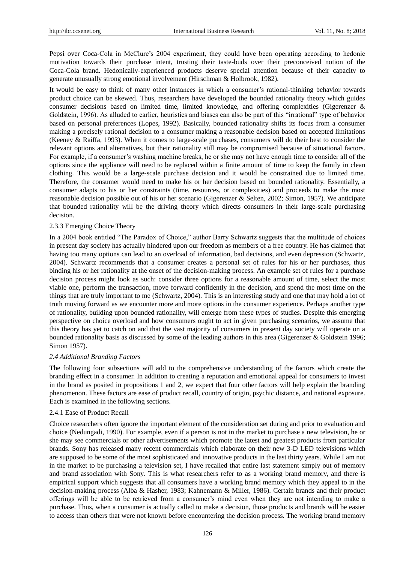Pepsi over Coca-Cola in McClure's 2004 experiment, they could have been operating according to hedonic motivation towards their purchase intent, trusting their taste-buds over their preconceived notion of the Coca-Cola brand. Hedonically-experienced products deserve special attention because of their capacity to generate unusually strong emotional involvement (Hirschman & Holbrook, 1982).

It would be easy to think of many other instances in which a consumer's rational-thinking behavior towards product choice can be skewed. Thus, researchers have developed the bounded rationality theory which guides consumer decisions based on limited time, limited knowledge, and offering complexities (Gigerenzer & Goldstein, 1996). As alluded to earlier, heuristics and biases can also be part of this "irrational" type of behavior based on personal preferences (Lopes, 1992). Basically, bounded rationality shifts its focus from a consumer making a precisely rational decision to a consumer making a reasonable decision based on accepted limitations (Keeney & Raiffa, 1993). When it comes to large-scale purchases, consumers will do their best to consider the relevant options and alternatives, but their rationality still may be compromised because of situational factors. For example, if a consumer's washing machine breaks, he or she may not have enough time to consider all of the options since the appliance will need to be replaced within a finite amount of time to keep the family in clean clothing. This would be a large-scale purchase decision and it would be constrained due to limited time. Therefore, the consumer would need to make his or her decision based on bounded rationality. Essentially, a consumer adapts to his or her constraints (time, resources, or complexities) and proceeds to make the most reasonable decision possible out of his or her scenario (Gigerenzer & Selten, 2002; Simon, 1957). We anticipate that bounded rationality will be the driving theory which directs consumers in their large-scale purchasing decision.

#### 2.3.3 Emerging Choice Theory

In a 2004 book entitled "The Paradox of Choice," author Barry Schwartz suggests that the multitude of choices in present day society has actually hindered upon our freedom as members of a free country. He has claimed that having too many options can lead to an overload of information, bad decisions, and even depression (Schwartz, 2004). Schwartz recommends that a consumer creates a personal set of rules for his or her purchases, thus binding his or her rationality at the onset of the decision-making process. An example set of rules for a purchase decision process might look as such: consider three options for a reasonable amount of time, select the most viable one, perform the transaction, move forward confidently in the decision, and spend the most time on the things that are truly important to me (Schwartz, 2004). This is an interesting study and one that may hold a lot of truth moving forward as we encounter more and more options in the consumer experience. Perhaps another type of rationality, building upon bounded rationality, will emerge from these types of studies. Despite this emerging perspective on choice overload and how consumers ought to act in given purchasing scenarios, we assume that this theory has yet to catch on and that the vast majority of consumers in present day society will operate on a bounded rationality basis as discussed by some of the leading authors in this area (Gigerenzer & Goldstein 1996; Simon 1957).

#### *2.4 Additional Branding Factors*

The following four subsections will add to the comprehensive understanding of the factors which create the branding effect in a consumer. In addition to creating a reputation and emotional appeal for consumers to invest in the brand as posited in propositions 1 and 2, we expect that four other factors will help explain the branding phenomenon. These factors are ease of product recall, country of origin, psychic distance, and national exposure. Each is examined in the following sections.

## 2.4.1 Ease of Product Recall

Choice researchers often ignore the important element of the consideration set during and prior to evaluation and choice (Nedungadi, 1990). For example, even if a person is not in the market to purchase a new television, he or she may see commercials or other advertisements which promote the latest and greatest products from particular brands. Sony has released many recent commercials which elaborate on their new 3-D LED televisions which are supposed to be some of the most sophisticated and innovative products in the last thirty years. While I am not in the market to be purchasing a television set, I have recalled that entire last statement simply out of memory and brand association with Sony. This is what researchers refer to as a working brand memory, and there is empirical support which suggests that all consumers have a working brand memory which they appeal to in the decision-making process (Alba & Hasher, 1983; Kahnemann & Miller, 1986). Certain brands and their product offerings will be able to be retrieved from a consumer's mind even when they are not intending to make a purchase. Thus, when a consumer is actually called to make a decision, those products and brands will be easier to access than others that were not known before encountering the decision process. The working brand memory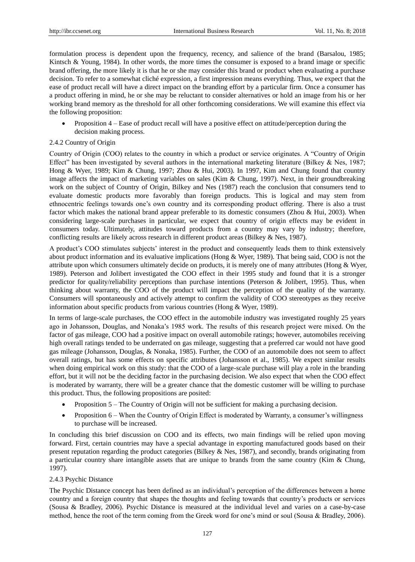formulation process is dependent upon the frequency, recency, and salience of the brand (Barsalou, 1985; Kintsch & Young, 1984). In other words, the more times the consumer is exposed to a brand image or specific brand offering, the more likely it is that he or she may consider this brand or product when evaluating a purchase decision. To refer to a somewhat cliché expression, a first impression means everything. Thus, we expect that the ease of product recall will have a direct impact on the branding effort by a particular firm. Once a consumer has a product offering in mind, he or she may be reluctant to consider alternatives or hold an image from his or her working brand memory as the threshold for all other forthcoming considerations. We will examine this effect via the following proposition:

 Proposition 4 – Ease of product recall will have a positive effect on attitude/perception during the decision making process.

# 2.4.2 Country of Origin

Country of Origin (COO) relates to the country in which a product or service originates. A "Country of Origin Effect" has been investigated by several authors in the international marketing literature (Bilkey  $\&$  Nes, 1987; Hong & Wyer, 1989; Kim & Chung, 1997; Zhou & Hui, 2003). In 1997, Kim and Chung found that country image affects the impact of marketing variables on sales (Kim & Chung, 1997). Next, in their groundbreaking work on the subject of Country of Origin, Bilkey and Nes (1987) reach the conclusion that consumers tend to evaluate domestic products more favorably than foreign products. This is logical and may stem from ethnocentric feelings towards one's own country and its corresponding product offering. There is also a trust factor which makes the national brand appear preferable to its domestic consumers (Zhou & Hui, 2003). When considering large-scale purchases in particular, we expect that country of origin effects may be evident in consumers today. Ultimately, attitudes toward products from a country may vary by industry; therefore, conflicting results are likely across research in different product areas (Bilkey & Nes, 1987).

A product's COO stimulates subjects' interest in the product and consequently leads them to think extensively about product information and its evaluative implications (Hong & Wyer, 1989). That being said, COO is not the attribute upon which consumers ultimately decide on products, it is merely one of many attributes (Hong & Wyer, 1989). Peterson and Jolibert investigated the COO effect in their 1995 study and found that it is a stronger predictor for quality/reliability perceptions than purchase intentions (Peterson & Jolibert, 1995). Thus, when thinking about warranty, the COO of the product will impact the perception of the quality of the warranty. Consumers will spontaneously and actively attempt to confirm the validity of COO stereotypes as they receive information about specific products from various countries (Hong & Wyer, 1989).

In terms of large-scale purchases, the COO effect in the automobile industry was investigated roughly 25 years ago in Johansson, Douglas, and Nonaka's 1985 work. The results of this research project were mixed. On the factor of gas mileage, COO had a positive impact on overall automobile ratings; however, automobiles receiving high overall ratings tended to be underrated on gas mileage, suggesting that a preferred car would not have good gas mileage (Johansson, Douglas, & Nonaka, 1985). Further, the COO of an automobile does not seem to affect overall ratings, but has some effects on specific attributes (Johansson et al., 1985). We expect similar results when doing empirical work on this study: that the COO of a large-scale purchase will play a role in the branding effort, but it will not be the deciding factor in the purchasing decision. We also expect that when the COO effect is moderated by warranty, there will be a greater chance that the domestic customer will be willing to purchase this product. Thus, the following propositions are posited:

- Proposition 5 The Country of Origin will not be sufficient for making a purchasing decision.
- Proposition 6 When the Country of Origin Effect is moderated by Warranty, a consumer's willingness to purchase will be increased.

In concluding this brief discussion on COO and its effects, two main findings will be relied upon moving forward. First, certain countries may have a special advantage in exporting manufactured goods based on their present reputation regarding the product categories (Bilkey & Nes, 1987), and secondly, brands originating from a particular country share intangible assets that are unique to brands from the same country (Kim & Chung, 1997).

# 2.4.3 Psychic Distance

The Psychic Distance concept has been defined as an individual's perception of the differences between a home country and a foreign country that shapes the thoughts and feeling towards that country's products or services (Sousa & Bradley, 2006). Psychic Distance is measured at the individual level and varies on a case-by-case method, hence the root of the term coming from the Greek word for one's mind or soul (Sousa & Bradley, 2006).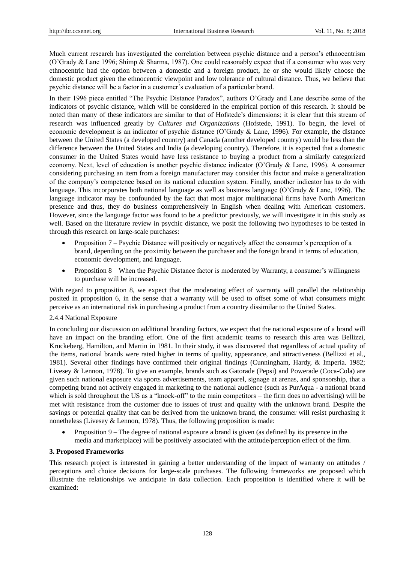Much current research has investigated the correlation between psychic distance and a person's ethnocentrism (O'Grady & Lane 1996; Shimp & Sharma, 1987). One could reasonably expect that if a consumer who was very ethnocentric had the option between a domestic and a foreign product, he or she would likely choose the domestic product given the ethnocentric viewpoint and low tolerance of cultural distance. Thus, we believe that psychic distance will be a factor in a customer's evaluation of a particular brand.

In their 1996 piece entitled "The Psychic Distance Paradox", authors O'Grady and Lane describe some of the indicators of psychic distance, which will be considered in the empirical portion of this research. It should be noted than many of these indicators are similar to that of Hofstede's dimensions; it is clear that this stream of research was influenced greatly by *Cultures and Organizations* (Hofstede, 1991). To begin, the level of economic development is an indicator of psychic distance (O'Grady & Lane, 1996). For example, the distance between the United States (a developed country) and Canada (another developed country) would be less than the difference between the United States and India (a developing country). Therefore, it is expected that a domestic consumer in the United States would have less resistance to buying a product from a similarly categorized economy. Next, level of education is another psychic distance indicator (O'Grady & Lane, 1996). A consumer considering purchasing an item from a foreign manufacturer may consider this factor and make a generalization of the company's competence based on its national education system. Finally, another indicator has to do with language. This incorporates both national language as well as business language (O'Grady & Lane, 1996). The language indicator may be confounded by the fact that most major multinational firms have North American presence and thus, they do business comprehensively in English when dealing with American customers. However, since the language factor was found to be a predictor previously, we will investigate it in this study as well. Based on the literature review in psychic distance, we posit the following two hypotheses to be tested in through this research on large-scale purchases:

- Proposition 7 Psychic Distance will positively or negatively affect the consumer's perception of a brand, depending on the proximity between the purchaser and the foreign brand in terms of education, economic development, and language.
- Proposition 8 When the Psychic Distance factor is moderated by Warranty, a consumer's willingness to purchase will be increased.

With regard to proposition 8, we expect that the moderating effect of warranty will parallel the relationship posited in proposition 6, in the sense that a warranty will be used to offset some of what consumers might perceive as an international risk in purchasing a product from a country dissimilar to the United States.

# 2.4.4 National Exposure

In concluding our discussion on additional branding factors, we expect that the national exposure of a brand will have an impact on the branding effort. One of the first academic teams to research this area was Bellizzi, Kruckeberg, Hamilton, and Martin in 1981. In their study, it was discovered that regardless of actual quality of the items, national brands were rated higher in terms of quality, appearance, and attractiveness (Bellizzi et al., 1981). Several other findings have confirmed their original findings (Cunningham, Hardy, & Imperia. 1982; Livesey & Lennon, 1978). To give an example, brands such as Gatorade (Pepsi) and Powerade (Coca-Cola) are given such national exposure via sports advertisements, team apparel, signage at arenas, and sponsorship, that a competing brand not actively engaged in marketing to the national audience (such as PurAqua - a national brand which is sold throughout the US as a "knock-off" to the main competitors – the firm does no advertising) will be met with resistance from the customer due to issues of trust and quality with the unknown brand. Despite the savings or potential quality that can be derived from the unknown brand, the consumer will resist purchasing it nonetheless (Livesey  $&$  Lennon, 1978). Thus, the following proposition is made:

• Proposition  $9 -$ The degree of national exposure a brand is given (as defined by its presence in the media and marketplace) will be positively associated with the attitude/perception effect of the firm.

## **3. Proposed Frameworks**

This research project is interested in gaining a better understanding of the impact of warranty on attitudes / perceptions and choice decisions for large-scale purchases. The following frameworks are proposed which illustrate the relationships we anticipate in data collection. Each proposition is identified where it will be examined: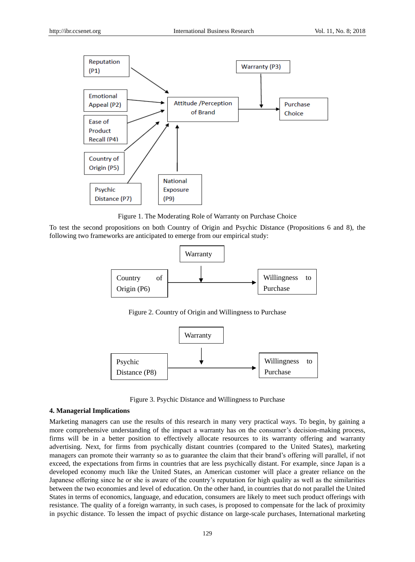

Figure 1. The Moderating Role of Warranty on Purchase Choice

To test the second propositions on both Country of Origin and Psychic Distance (Propositions 6 and 8), the following two frameworks are anticipated to emerge from our empirical study:



Figure 2. Country of Origin and Willingness to Purchase



Figure 3. Psychic Distance and Willingness to Purchase

## **4. Managerial Implications**

Marketing managers can use the results of this research in many very practical ways. To begin, by gaining a more comprehensive understanding of the impact a warranty has on the consumer's decision-making process, firms will be in a better position to effectively allocate resources to its warranty offering and warranty advertising. Next, for firms from psychically distant countries (compared to the United States), marketing managers can promote their warranty so as to guarantee the claim that their brand's offering will parallel, if not exceed, the expectations from firms in countries that are less psychically distant. For example, since Japan is a developed economy much like the United States, an American customer will place a greater reliance on the Japanese offering since he or she is aware of the country's reputation for high quality as well as the similarities between the two economies and level of education. On the other hand, in countries that do not parallel the United States in terms of economics, language, and education, consumers are likely to meet such product offerings with resistance. The quality of a foreign warranty, in such cases, is proposed to compensate for the lack of proximity in psychic distance. To lessen the impact of psychic distance on large-scale purchases, International marketing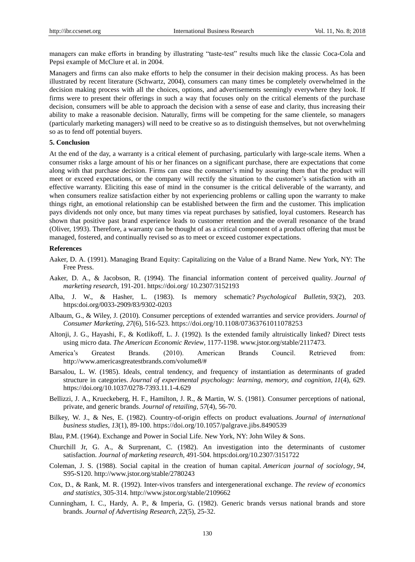managers can make efforts in branding by illustrating "taste-test" results much like the classic Coca-Cola and Pepsi example of McClure et al. in 2004.

Managers and firms can also make efforts to help the consumer in their decision making process. As has been illustrated by recent literature (Schwartz, 2004), consumers can many times be completely overwhelmed in the decision making process with all the choices, options, and advertisements seemingly everywhere they look. If firms were to present their offerings in such a way that focuses only on the critical elements of the purchase decision, consumers will be able to approach the decision with a sense of ease and clarity, thus increasing their ability to make a reasonable decision. Naturally, firms will be competing for the same clientele, so managers (particularly marketing managers) will need to be creative so as to distinguish themselves, but not overwhelming so as to fend off potential buyers.

# **5. Conclusion**

At the end of the day, a warranty is a critical element of purchasing, particularly with large-scale items. When a consumer risks a large amount of his or her finances on a significant purchase, there are expectations that come along with that purchase decision. Firms can ease the consumer's mind by assuring them that the product will meet or exceed expectations, or the company will rectify the situation to the customer's satisfaction with an effective warranty. Eliciting this ease of mind in the consumer is the critical deliverable of the warranty, and when consumers realize satisfaction either by not experiencing problems or calling upon the warranty to make things right, an emotional relationship can be established between the firm and the customer. This implication pays dividends not only once, but many times via repeat purchases by satisfied, loyal customers. Research has shown that positive past brand experience leads to customer retention and the overall resonance of the brand (Oliver, 1993). Therefore, a warranty can be thought of as a critical component of a product offering that must be managed, fostered, and continually revised so as to meet or exceed customer expectations.

## **References**

- Aaker, D. A. (1991). Managing Brand Equity: Capitalizing on the Value of a Brand Name. New York, NY: The Free Press.
- Aaker, D. A., & Jacobson, R. (1994). The financial information content of perceived quality. *Journal of marketing research,* 191-201. https://doi.org/ 10.2307/3152193
- Alba, J. W., & Hasher, L. (1983). Is memory schematic? *Psychological Bulletin, 93*(2), 203. https:doi.org/0033-2909/83/9302-0203
- Albaum, G., & Wiley, J. (2010). Consumer perceptions of extended warranties and service providers. *Journal of Consumer Marketing, 27*(6), 516-523.<https://doi.org/10.1108/07363761011078253>
- Altonji, J. G., Hayashi, F., & Kotlikoff, L. J. (1992). Is the extended family altruistically linked? Direct tests using micro data. *The American Economic Review,* 1177-1198. www.jstor.org/stable/2117473.
- America's Greatest Brands. (2010). American Brands Council. Retrieved from: [http://www.americasgreatestbrands.com/volume8/#](http://www.americasgreatestbrands.com/volume8/)
- Barsalou, L. W. (1985). Ideals, central tendency, and frequency of instantiation as determinants of graded structure in categories. *Journal of experimental psychology: learning, memory, and cognition, 11*(4), 629. https://doi.org/10.1037/0278-7393.11.1-4.629
- Bellizzi, J. A., Krueckeberg, H. F., Hamilton, J. R., & Martin, W. S. (1981). Consumer perceptions of national, private, and generic brands. *Journal of retailing, 57*(4), 56-70.
- Bilkey, W. J., & Nes, E. (1982). Country-of-origin effects on product evaluations. *Journal of international business studies, 13*(1), 89-100. https://doi.org/10.1057/palgrave.jibs.8490539
- Blau, P.M. (1964). Exchange and Power in Social Life. New York, NY: John Wiley & Sons.
- Churchill Jr, G. A., & Surprenant, C. (1982). An investigation into the determinants of customer satisfaction. *Journal of marketing research,* 491-504. https:doi.org/10.2307/3151722
- Coleman, J. S. (1988). Social capital in the creation of human capital. *American journal of sociology, 94,*  S95-S120. http://www.jstor.org/stable/2780243
- Cox, D., & Rank, M. R. (1992). Inter-vivos transfers and intergenerational exchange. *The review of economics and statistics,* 305-314. http://www.jstor.org/stable/2109662
- Cunningham, I. C., Hardy, A. P., & Imperia, G. (1982). Generic brands versus national brands and store brands. *Journal of Advertising Research, 22*(5), 25-32.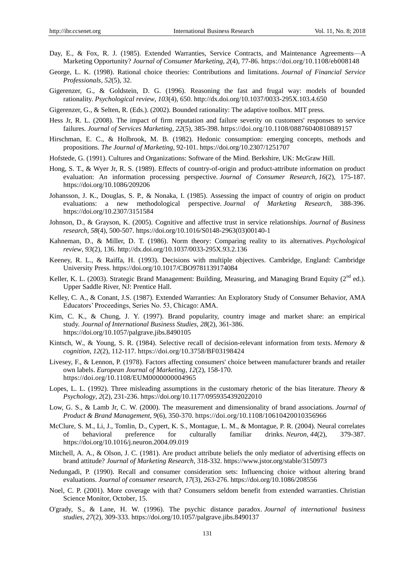- Day, E., & Fox, R. J. (1985). Extended Warranties, Service Contracts, and Maintenance Agreements-A Marketing Opportunity? *Journal of Consumer Marketing, 2*(4), 77-86.<https://doi.org/10.1108/eb008148>
- George, L. K. (1998). Rational choice theories: Contributions and limitations. *Journal of Financial Service Professionals, 52*(5), 32.
- Gigerenzer, G., & Goldstein, D. G. (1996). Reasoning the fast and frugal way: models of bounded rationality. *Psychological review, 103*(4), 650. [http://dx.doi.org/10.1037/0033-295X.103.4.650](http://psycnet.apa.org/doi/10.1037/0033-295X.103.4.650)
- Gigerenzer, G., & Selten, R. (Eds.). (2002). Bounded rationality: The adaptive toolbox. MIT press.
- Hess Jr, R. L. (2008). The impact of firm reputation and failure severity on customers' responses to service failures. *Journal of Services Marketing, 22*(5), 385-398.<https://doi.org/10.1108/08876040810889157>
- Hirschman, E. C., & Holbrook, M. B. (1982). Hedonic consumption: emerging concepts, methods and propositions. *The Journal of Marketing,* 92-101. https://doi.org/10.2307/1251707
- Hofstede, G. (1991). Cultures and Organizations: Software of the Mind. Berkshire, UK: McGraw Hill.
- Hong, S. T., & Wyer Jr, R. S. (1989). Effects of country-of-origin and product-attribute information on product evaluation: An information processing perspective. *Journal of Consumer Research, 16*(2), 175-187. <https://doi.org/10.1086/209206>
- Johansson, J. K., Douglas, S. P., & Nonaka, I. (1985). Assessing the impact of country of origin on product evaluations: a new methodological perspective. *Journal of Marketing Research,* 388-396. <https://doi.org/10.2307/3151584>
- Johnson, D., & Grayson, K. (2005). Cognitive and affective trust in service relationships. *Journal of Business research, 58*(4), 500-507. [https://doi.org/10.1016/S0148-2963\(03\)00140-1](https://doi.org/10.1016/S0148-2963(03)00140-1)
- Kahneman, D., & Miller, D. T. (1986). Norm theory: Comparing reality to its alternatives. *Psychological review, 93*(2), 136. [http://dx.doi.org/10.1037/0033-295X.93.2.136](http://psycnet.apa.org/doi/10.1037/0033-295X.93.2.136)
- Keeney, R. L., & Raiffa, H. (1993). Decisions with multiple objectives. Cambridge, England: Cambridge University Press. https://doi.org/10.1017/CBO9781139174084
- Keller, K. L. (2003). Strategic Brand Management: Building, Measuring, and Managing Brand Equity (2<sup>nd</sup> ed.). Upper Saddle River, NJ: Prentice Hall.
- Kelley, C. A., & Conant, J.S. (1987). Extended Warranties: An Exploratory Study of Consumer Behavior, AMA Educators' Proceedings, Series No. 53, Chicago: AMA.
- Kim, C. K., & Chung, J. Y. (1997). Brand popularity, country image and market share: an empirical study. *Journal of International Business Studies, 28*(2), 361-386. https://doi.org/10.1057/palgrave.jibs.8490105
- Kintsch, W., & Young, S. R. (1984). Selective recall of decision-relevant information from texts. *Memory & cognition, 12*(2), 112-117. https://doi.org/10.3758/BF03198424
- Livesey, F., & Lennon, P. (1978). Factors affecting consumers' choice between manufacturer brands and retailer own labels. *European Journal of Marketing, 12*(2), 158-170. <https://doi.org/10.1108/EUM0000000004965>
- Lopes, L. L. (1992). Three misleading assumptions in the customary rhetoric of the bias literature. *Theory & Psychology, 2*(2), 231-236.<https://doi.org/10.1177/0959354392022010>
- Low, G. S., & Lamb Jr, C. W. (2000). The measurement and dimensionality of brand associations. *Journal of Product & Brand Management, 9*(6), 350-370.<https://doi.org/10.1108/10610420010356966>
- McClure, S. M., Li, J., Tomlin, D., Cypert, K. S., Montague, L. M., & Montague, P. R. (2004). Neural correlates of behavioral preference for culturally familiar drinks. *Neuron, 44*(2), 379-387. <https://doi.org/10.1016/j.neuron.2004.09.019>
- Mitchell, A. A., & Olson, J. C. (1981). Are product attribute beliefs the only mediator of advertising effects on brand attitude? *Journal of Marketing Research,* 318-332. https://www.jstor.org/stable/3150973
- Nedungadi, P. (1990). Recall and consumer consideration sets: Influencing choice without altering brand evaluations. *Journal of consumer research, 17*(3), 263-276.<https://doi.org/10.1086/208556>
- Noel, C. P. (2001). More coverage with that? Consumers seldom benefit from extended warranties. Christian Science Monitor, October, 15.
- O'grady, S., & Lane, H. W. (1996). The psychic distance paradox. *Journal of international business studies, 27*(2), 309-333. https://doi.org/10.1057/palgrave.jibs.8490137